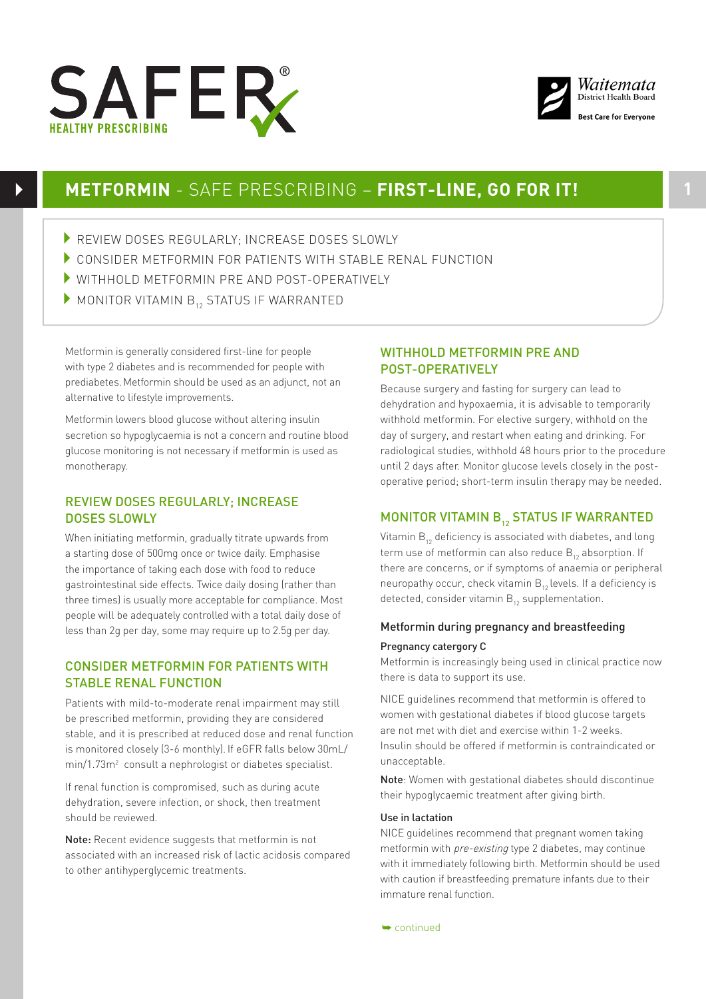



## **METFORMIN** - SAFE PRESCRIBING – **FIRST-LINE, GO FOR IT! 1**

- REVIEW DOSES REGULARLY: INCREASE DOSES SLOWLY
- CONSIDER METFORMIN FOR PATIENTS WITH STABLE RENAL FUNCTION
- 4WITHHOLD METFORMIN PRE AND POST-OPERATIVELY
- $\blacktriangleright$  MONITOR VITAMIN  $B_{12}$  STATUS IF WARRANTED

Metformin is generally considered first-line for people with type 2 diabetes and is recommended for people with prediabetes.Metformin should be used as an adjunct, not an alternative to lifestyle improvements.

Metformin lowers blood glucose without altering insulin secretion so hypoglycaemia is not a concern and routine blood glucose monitoring is not necessary if metformin is used as monotherapy.

## REVIEW DOSES REGULARLY; INCREASE DOSES SLOWLY

When initiating metformin, gradually titrate upwards from a starting dose of 500mg once or twice daily. Emphasise the importance of taking each dose with food to reduce gastrointestinal side effects. Twice daily dosing (rather than three times) is usually more acceptable for compliance. Most people will be adequately controlled with a total daily dose of less than 2g per day, some may require up to 2.5g per day.

## CONSIDER METFORMIN FOR PATIENTS WITH STABLE RENAL FUNCTION

Patients with mild-to-moderate renal impairment may still be prescribed metformin, providing they are considered stable, and it is prescribed at reduced dose and renal function is monitored closely (3-6 monthly). If eGFR falls below 30mL/ min/1.73m<sup>2</sup> consult a nephrologist or diabetes specialist.

If renal function is compromised, such as during acute dehydration, severe infection, or shock, then treatment should be reviewed.

Note: Recent evidence suggests that metformin is not associated with an increased risk of lactic acidosis compared to other antihyperglycemic treatments.

## WITHHOLD METFORMIN PRE AND POST-OPERATIVELY

Because surgery and fasting for surgery can lead to dehydration and hypoxaemia, it is advisable to temporarily withhold metformin. For elective surgery, withhold on the day of surgery, and restart when eating and drinking. For radiological studies, withhold 48 hours prior to the procedure until 2 days after. Monitor glucose levels closely in the postoperative period; short-term insulin therapy may be needed.

## MONITOR VITAMIN B<sub>12</sub> STATUS IF WARRANTED

Vitamin  $B_{12}$  deficiency is associated with diabetes, and long term use of metformin can also reduce  $B_{12}$  absorption. If there are concerns, or if symptoms of anaemia or peripheral neuropathy occur, check vitamin  $B_{12}$  levels. If a deficiency is detected, consider vitamin  $B_{12}$  supplementation.

## Metformin during pregnancy and breastfeeding Pregnancy catergory C

Metformin is increasingly being used in clinical practice now there is data to support its use.

NICE guidelines recommend that metformin is offered to women with gestational diabetes if blood glucose targets are not met with diet and exercise within 1-2 weeks. Insulin should be offered if metformin is contraindicated or unacceptable.

Note: Women with gestational diabetes should discontinue their hypoglycaemic treatment after giving birth.

### Use in lactation

NICE guidelines recommend that pregnant women taking metformin with pre-existing type 2 diabetes, may continue with it immediately following birth. Metformin should be used with caution if breastfeeding premature infants due to their immature renal function.

➥ continued